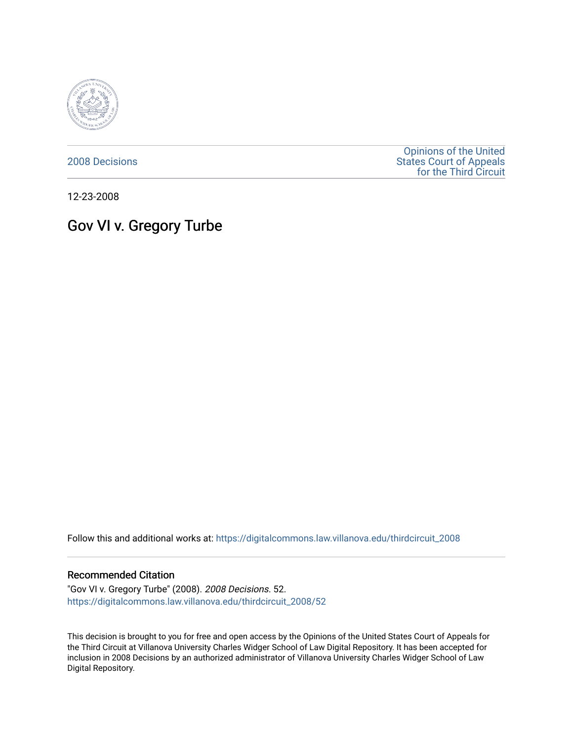

[2008 Decisions](https://digitalcommons.law.villanova.edu/thirdcircuit_2008)

[Opinions of the United](https://digitalcommons.law.villanova.edu/thirdcircuit)  [States Court of Appeals](https://digitalcommons.law.villanova.edu/thirdcircuit)  [for the Third Circuit](https://digitalcommons.law.villanova.edu/thirdcircuit) 

12-23-2008

# Gov VI v. Gregory Turbe

Follow this and additional works at: [https://digitalcommons.law.villanova.edu/thirdcircuit\\_2008](https://digitalcommons.law.villanova.edu/thirdcircuit_2008?utm_source=digitalcommons.law.villanova.edu%2Fthirdcircuit_2008%2F52&utm_medium=PDF&utm_campaign=PDFCoverPages) 

#### Recommended Citation

"Gov VI v. Gregory Turbe" (2008). 2008 Decisions. 52. [https://digitalcommons.law.villanova.edu/thirdcircuit\\_2008/52](https://digitalcommons.law.villanova.edu/thirdcircuit_2008/52?utm_source=digitalcommons.law.villanova.edu%2Fthirdcircuit_2008%2F52&utm_medium=PDF&utm_campaign=PDFCoverPages)

This decision is brought to you for free and open access by the Opinions of the United States Court of Appeals for the Third Circuit at Villanova University Charles Widger School of Law Digital Repository. It has been accepted for inclusion in 2008 Decisions by an authorized administrator of Villanova University Charles Widger School of Law Digital Repository.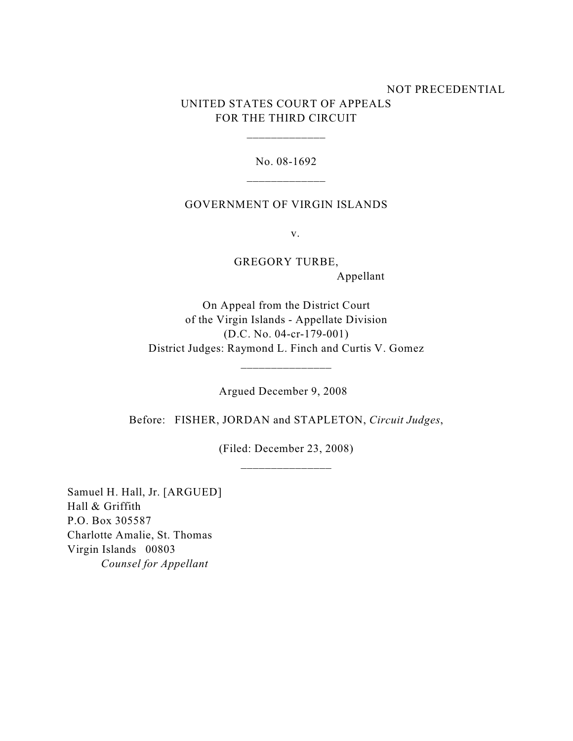# NOT PRECEDENTIAL UNITED STATES COURT OF APPEALS FOR THE THIRD CIRCUIT

No. 08-1692 \_\_\_\_\_\_\_\_\_\_\_\_\_

\_\_\_\_\_\_\_\_\_\_\_\_\_

### GOVERNMENT OF VIRGIN ISLANDS

v.

GREGORY TURBE, Appellant

On Appeal from the District Court of the Virgin Islands - Appellate Division (D.C. No. 04-cr-179-001) District Judges: Raymond L. Finch and Curtis V. Gomez

\_\_\_\_\_\_\_\_\_\_\_\_\_\_\_

Argued December 9, 2008

Before: FISHER, JORDAN and STAPLETON, *Circuit Judges*,

(Filed: December 23, 2008) \_\_\_\_\_\_\_\_\_\_\_\_\_\_\_

Samuel H. Hall, Jr. [ARGUED] Hall & Griffith P.O. Box 305587 Charlotte Amalie, St. Thomas Virgin Islands 00803 *Counsel for Appellant*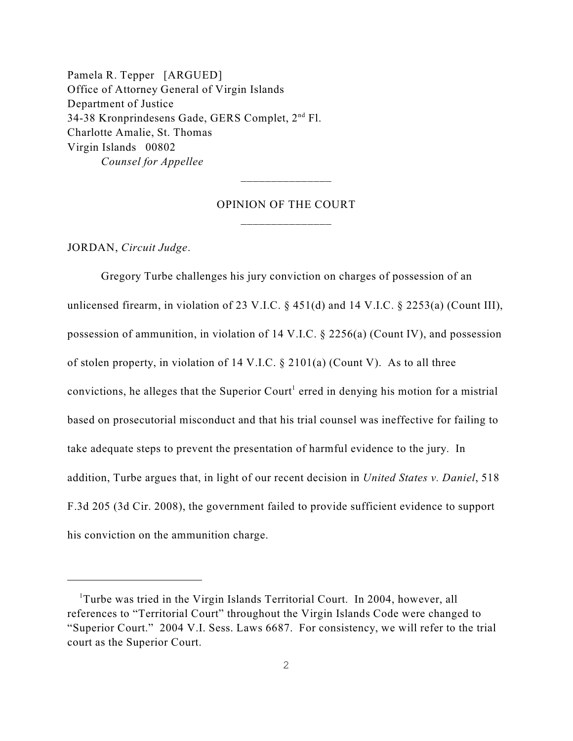Pamela R. Tepper [ARGUED] Office of Attorney General of Virgin Islands Department of Justice 34-38 Kronprindesens Gade, GERS Complet, 2<sup>nd</sup> Fl. Charlotte Amalie, St. Thomas Virgin Islands 00802 *Counsel for Appellee*

# OPINION OF THE COURT \_\_\_\_\_\_\_\_\_\_\_\_\_\_\_

JORDAN, *Circuit Judge*.

Gregory Turbe challenges his jury conviction on charges of possession of an unlicensed firearm, in violation of 23 V.I.C. § 451(d) and 14 V.I.C. § 2253(a) (Count III), possession of ammunition, in violation of 14 V.I.C. § 2256(a) (Count IV), and possession of stolen property, in violation of 14 V.I.C. § 2101(a) (Count V). As to all three convictions, he alleges that the Superior Court<sup>1</sup> erred in denying his motion for a mistrial based on prosecutorial misconduct and that his trial counsel was ineffective for failing to take adequate steps to prevent the presentation of harmful evidence to the jury. In addition, Turbe argues that, in light of our recent decision in *United States v. Daniel*, 518 F.3d 205 (3d Cir. 2008), the government failed to provide sufficient evidence to support his conviction on the ammunition charge.

<sup>&</sup>lt;sup>1</sup>Turbe was tried in the Virgin Islands Territorial Court. In 2004, however, all references to "Territorial Court" throughout the Virgin Islands Code were changed to "Superior Court." 2004 V.I. Sess. Laws 6687. For consistency, we will refer to the trial court as the Superior Court.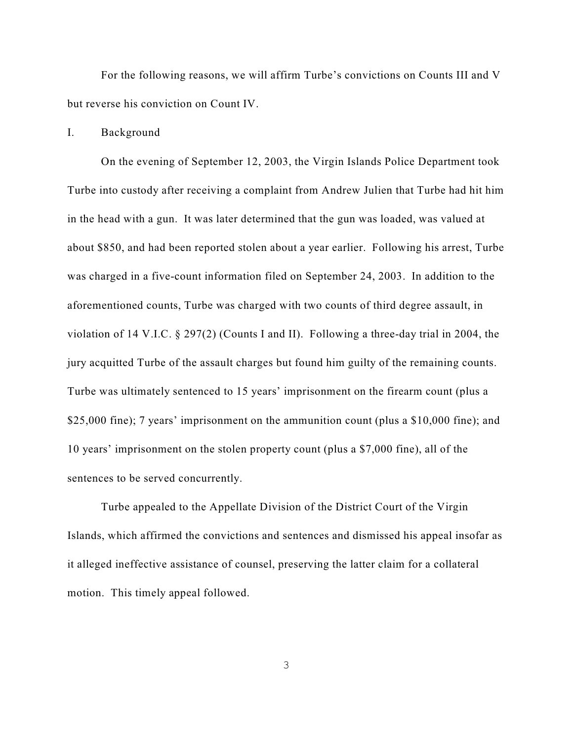For the following reasons, we will affirm Turbe's convictions on Counts III and V but reverse his conviction on Count IV.

#### I. Background

On the evening of September 12, 2003, the Virgin Islands Police Department took Turbe into custody after receiving a complaint from Andrew Julien that Turbe had hit him in the head with a gun. It was later determined that the gun was loaded, was valued at about \$850, and had been reported stolen about a year earlier. Following his arrest, Turbe was charged in a five-count information filed on September 24, 2003. In addition to the aforementioned counts, Turbe was charged with two counts of third degree assault, in violation of 14 V.I.C. § 297(2) (Counts I and II). Following a three-day trial in 2004, the jury acquitted Turbe of the assault charges but found him guilty of the remaining counts. Turbe was ultimately sentenced to 15 years' imprisonment on the firearm count (plus a \$25,000 fine); 7 years' imprisonment on the ammunition count (plus a \$10,000 fine); and 10 years' imprisonment on the stolen property count (plus a \$7,000 fine), all of the sentences to be served concurrently.

Turbe appealed to the Appellate Division of the District Court of the Virgin Islands, which affirmed the convictions and sentences and dismissed his appeal insofar as it alleged ineffective assistance of counsel, preserving the latter claim for a collateral motion. This timely appeal followed.

3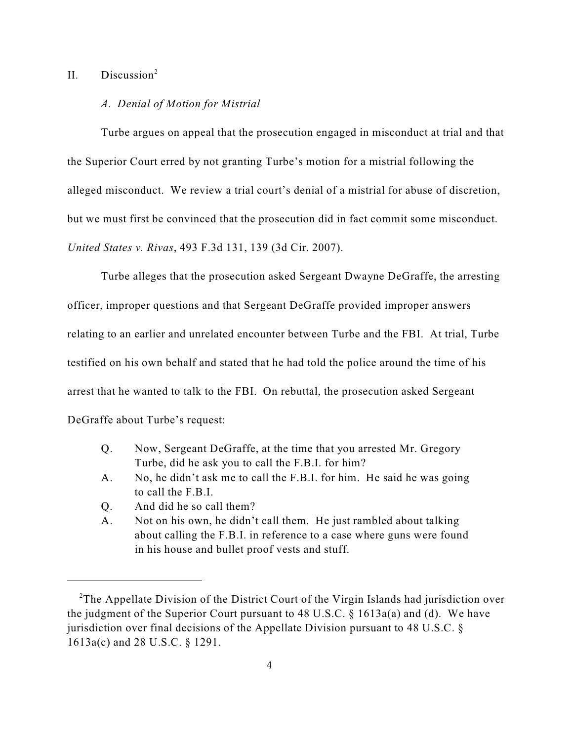# II. Discussion<sup>2</sup>

#### *A. Denial of Motion for Mistrial*

Turbe argues on appeal that the prosecution engaged in misconduct at trial and that the Superior Court erred by not granting Turbe's motion for a mistrial following the alleged misconduct. We review a trial court's denial of a mistrial for abuse of discretion, but we must first be convinced that the prosecution did in fact commit some misconduct. *United States v. Rivas*, 493 F.3d 131, 139 (3d Cir. 2007).

Turbe alleges that the prosecution asked Sergeant Dwayne DeGraffe, the arresting officer, improper questions and that Sergeant DeGraffe provided improper answers relating to an earlier and unrelated encounter between Turbe and the FBI. At trial, Turbe testified on his own behalf and stated that he had told the police around the time of his arrest that he wanted to talk to the FBI. On rebuttal, the prosecution asked Sergeant DeGraffe about Turbe's request:

- Q. Now, Sergeant DeGraffe, at the time that you arrested Mr. Gregory Turbe, did he ask you to call the F.B.I. for him?
- A. No, he didn't ask me to call the F.B.I. for him. He said he was going to call the F.B.I.
- Q. And did he so call them?
- A. Not on his own, he didn't call them. He just rambled about talking about calling the F.B.I. in reference to a case where guns were found in his house and bullet proof vests and stuff.

<sup>&</sup>lt;sup>2</sup>The Appellate Division of the District Court of the Virgin Islands had jurisdiction over the judgment of the Superior Court pursuant to 48 U.S.C. § 1613a(a) and (d). We have jurisdiction over final decisions of the Appellate Division pursuant to 48 U.S.C. § 1613a(c) and 28 U.S.C. § 1291.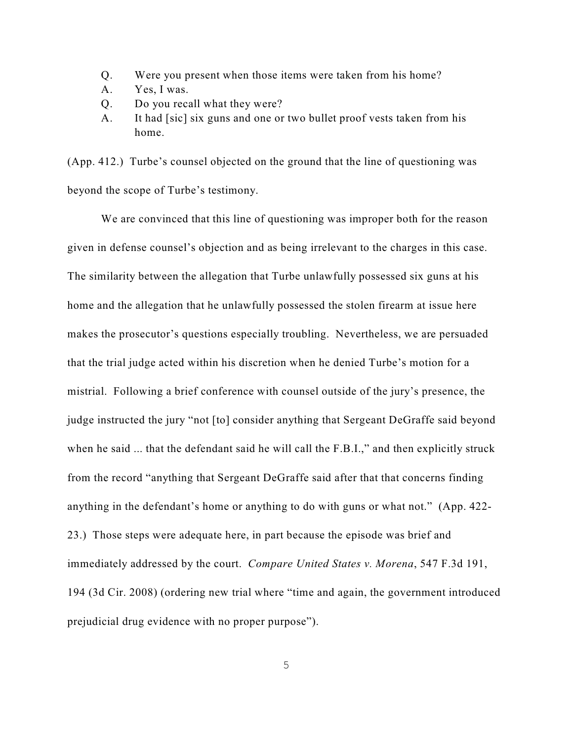- Q. Were you present when those items were taken from his home?
- A. Yes, I was.
- Q. Do you recall what they were?
- A. It had [sic] six guns and one or two bullet proof vests taken from his home.

(App. 412.) Turbe's counsel objected on the ground that the line of questioning was beyond the scope of Turbe's testimony.

We are convinced that this line of questioning was improper both for the reason given in defense counsel's objection and as being irrelevant to the charges in this case. The similarity between the allegation that Turbe unlawfully possessed six guns at his home and the allegation that he unlawfully possessed the stolen firearm at issue here makes the prosecutor's questions especially troubling. Nevertheless, we are persuaded that the trial judge acted within his discretion when he denied Turbe's motion for a mistrial. Following a brief conference with counsel outside of the jury's presence, the judge instructed the jury "not [to] consider anything that Sergeant DeGraffe said beyond when he said ... that the defendant said he will call the F.B.I.," and then explicitly struck from the record "anything that Sergeant DeGraffe said after that that concerns finding anything in the defendant's home or anything to do with guns or what not." (App. 422- 23.) Those steps were adequate here, in part because the episode was brief and immediately addressed by the court. *Compare United States v. Morena*, 547 F.3d 191, 194 (3d Cir. 2008) (ordering new trial where "time and again, the government introduced prejudicial drug evidence with no proper purpose").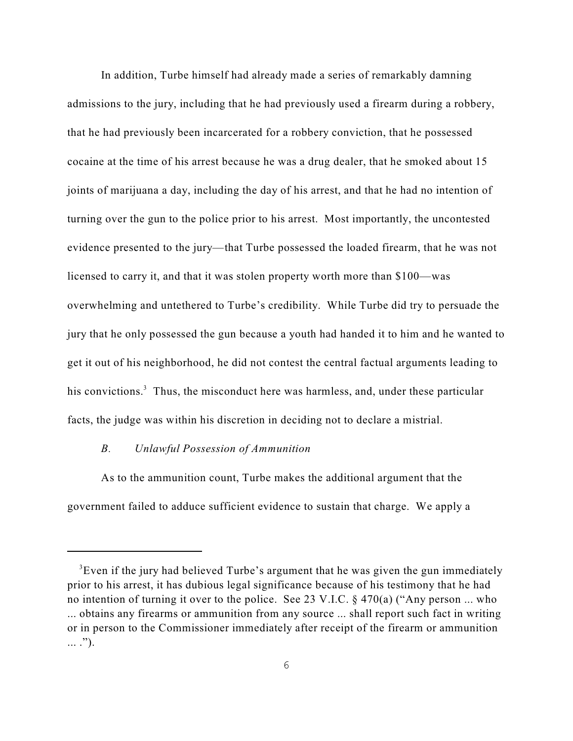In addition, Turbe himself had already made a series of remarkably damning admissions to the jury, including that he had previously used a firearm during a robbery, that he had previously been incarcerated for a robbery conviction, that he possessed cocaine at the time of his arrest because he was a drug dealer, that he smoked about 15 joints of marijuana a day, including the day of his arrest, and that he had no intention of turning over the gun to the police prior to his arrest. Most importantly, the uncontested evidence presented to the jury—that Turbe possessed the loaded firearm, that he was not licensed to carry it, and that it was stolen property worth more than \$100—was overwhelming and untethered to Turbe's credibility. While Turbe did try to persuade the jury that he only possessed the gun because a youth had handed it to him and he wanted to get it out of his neighborhood, he did not contest the central factual arguments leading to his convictions.<sup>3</sup> Thus, the misconduct here was harmless, and, under these particular facts, the judge was within his discretion in deciding not to declare a mistrial.

## *B. Unlawful Possession of Ammunition*

As to the ammunition count, Turbe makes the additional argument that the government failed to adduce sufficient evidence to sustain that charge. We apply a

 ${}^{3}$ Even if the jury had believed Turbe's argument that he was given the gun immediately prior to his arrest, it has dubious legal significance because of his testimony that he had no intention of turning it over to the police. See 23 V.I.C. § 470(a) ("Any person ... who ... obtains any firearms or ammunition from any source ... shall report such fact in writing or in person to the Commissioner immediately after receipt of the firearm or ammunition ... .").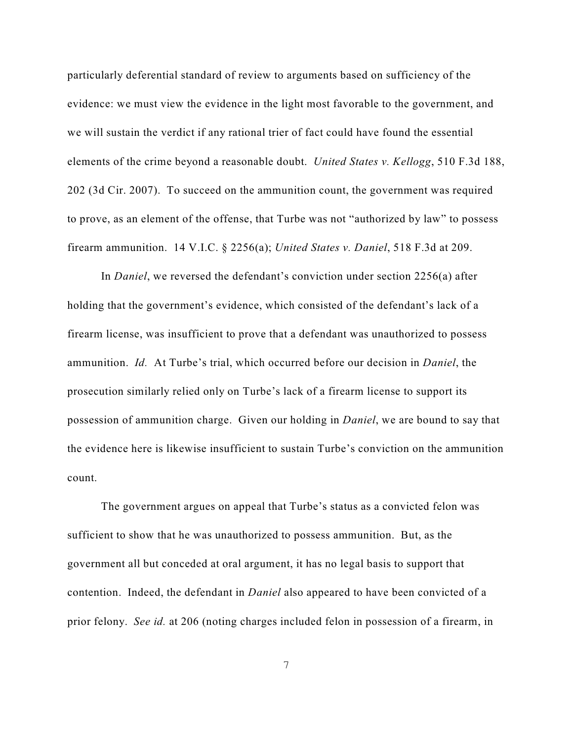particularly deferential standard of review to arguments based on sufficiency of the evidence: we must view the evidence in the light most favorable to the government, and we will sustain the verdict if any rational trier of fact could have found the essential elements of the crime beyond a reasonable doubt. *United States v. Kellogg*, 510 F.3d 188, 202 (3d Cir. 2007). To succeed on the ammunition count, the government was required to prove, as an element of the offense, that Turbe was not "authorized by law" to possess firearm ammunition. 14 V.I.C. § 2256(a); *United States v. Daniel*, 518 F.3d at 209.

In *Daniel*, we reversed the defendant's conviction under section 2256(a) after holding that the government's evidence, which consisted of the defendant's lack of a firearm license, was insufficient to prove that a defendant was unauthorized to possess ammunition. *Id.* At Turbe's trial, which occurred before our decision in *Daniel*, the prosecution similarly relied only on Turbe's lack of a firearm license to support its possession of ammunition charge. Given our holding in *Daniel*, we are bound to say that the evidence here is likewise insufficient to sustain Turbe's conviction on the ammunition count.

The government argues on appeal that Turbe's status as a convicted felon was sufficient to show that he was unauthorized to possess ammunition. But, as the government all but conceded at oral argument, it has no legal basis to support that contention. Indeed, the defendant in *Daniel* also appeared to have been convicted of a prior felony. *See id.* at 206 (noting charges included felon in possession of a firearm, in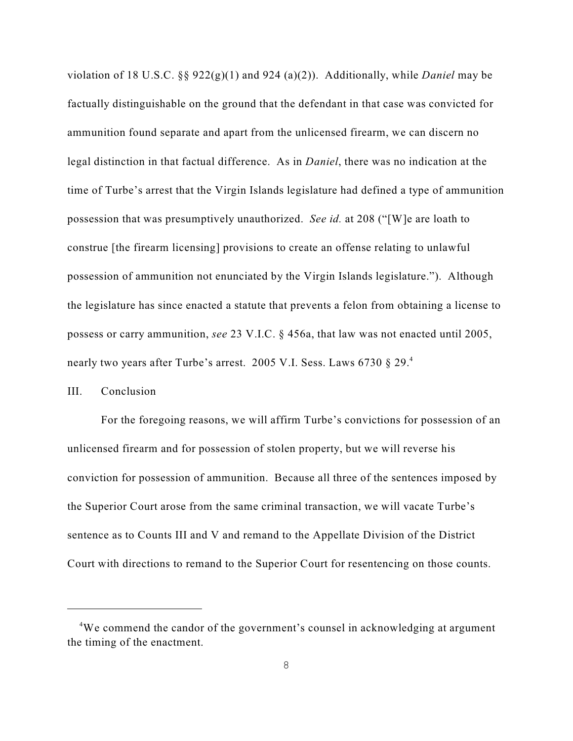violation of 18 U.S.C. §§ 922(g)(1) and 924 (a)(2)). Additionally, while *Daniel* may be factually distinguishable on the ground that the defendant in that case was convicted for ammunition found separate and apart from the unlicensed firearm, we can discern no legal distinction in that factual difference. As in *Daniel*, there was no indication at the time of Turbe's arrest that the Virgin Islands legislature had defined a type of ammunition possession that was presumptively unauthorized. *See id.* at 208 ("[W]e are loath to construe [the firearm licensing] provisions to create an offense relating to unlawful possession of ammunition not enunciated by the Virgin Islands legislature."). Although the legislature has since enacted a statute that prevents a felon from obtaining a license to possess or carry ammunition, *see* 23 V.I.C. § 456a, that law was not enacted until 2005, nearly two years after Turbe's arrest. 2005 V.I. Sess. Laws 6730 § 29.<sup>4</sup>

## III. Conclusion

For the foregoing reasons, we will affirm Turbe's convictions for possession of an unlicensed firearm and for possession of stolen property, but we will reverse his conviction for possession of ammunition. Because all three of the sentences imposed by the Superior Court arose from the same criminal transaction, we will vacate Turbe's sentence as to Counts III and V and remand to the Appellate Division of the District Court with directions to remand to the Superior Court for resentencing on those counts.

<sup>&</sup>lt;sup>4</sup>We commend the candor of the government's counsel in acknowledging at argument the timing of the enactment.